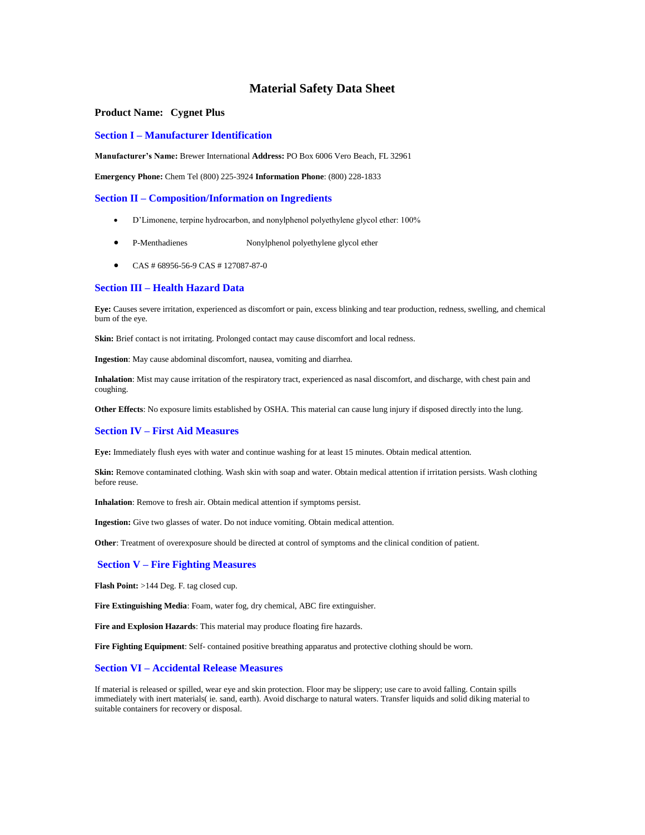# **Material Safety Data Sheet**

### **Product Name: Cygnet Plus**

#### **Section I –Manufacturer Identification**

**Manufacturer's Name:** Brewer International **Address:** PO Box 6006 Vero Beach, FL 32961

**Emergency Phone:** Chem Tel (800) 225-3924 **Information Phone**: (800) 228-1833

#### **Section II –Composition/Information on Ingredients**

- D'Limonene, terpine hydrocarbon, and nonylphenol polyethylene glycol ether: 100%
- P-Menthadienes Nonylphenol polyethylene glycol ether
- CAS # 68956-56-9 CAS # 127087-87-0

## **Section III –Health Hazard Data**

**Eye:** Causes severe irritation, experienced as discomfort or pain, excess blinking and tear production, redness, swelling, and chemical burn of the eye.

**Skin:** Brief contact is not irritating. Prolonged contact may cause discomfort and local redness.

**Ingestion**: May cause abdominal discomfort, nausea, vomiting and diarrhea.

**Inhalation**: Mist may cause irritation of the respiratory tract, experienced as nasal discomfort, and discharge, with chest pain and coughing.

**Other Effects**: No exposure limits established by OSHA. This material can cause lung injury if disposed directly into the lung.

#### **Section IV –First Aid Measures**

**Eye:** Immediately flush eyes with water and continue washing for at least 15 minutes. Obtain medical attention.

Skin: Remove contaminated clothing. Wash skin with soap and water. Obtain medical attention if irritation persists. Wash clothing before reuse.

**Inhalation**: Remove to fresh air. Obtain medical attention if symptoms persist.

**Ingestion:** Give two glasses of water. Do not induce vomiting. Obtain medical attention.

**Other**: Treatment of overexposure should be directed at control of symptoms and the clinical condition of patient.

#### **Section V –Fire Fighting Measures**

**Flash Point:** >144 Deg. F. tag closed cup.

**Fire Extinguishing Media**: Foam, water fog, dry chemical, ABC fire extinguisher.

**Fire and Explosion Hazards**: This material may produce floating fire hazards.

**Fire Fighting Equipment**: Self- contained positive breathing apparatus and protective clothing should be worn.

## **Section VI –Accidental Release Measures**

If material is released or spilled, wear eye and skin protection. Floor may be slippery; use care to avoid falling. Contain spills immediately with inert materials( ie. sand, earth). Avoid discharge to natural waters. Transfer liquids and solid diking material to suitable containers for recovery or disposal.